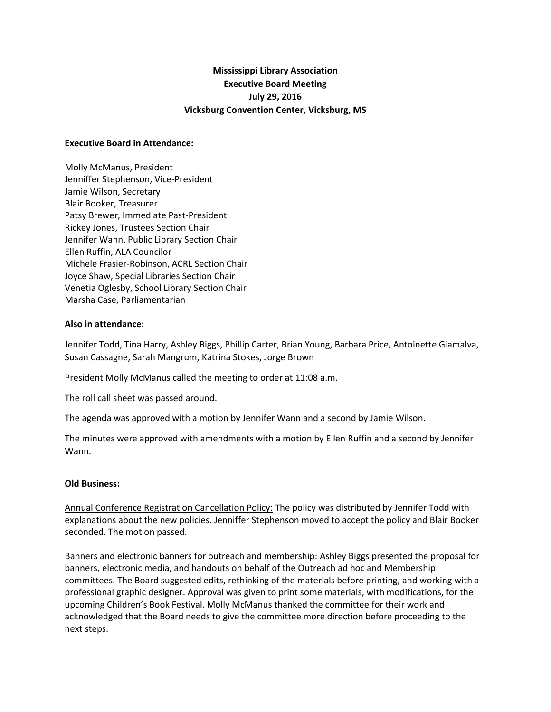# **Mississippi Library Association Executive Board Meeting July 29, 2016 Vicksburg Convention Center, Vicksburg, MS**

### **Executive Board in Attendance:**

Molly McManus, President Jenniffer Stephenson, Vice-President Jamie Wilson, Secretary Blair Booker, Treasurer Patsy Brewer, Immediate Past-President Rickey Jones, Trustees Section Chair Jennifer Wann, Public Library Section Chair Ellen Ruffin, ALA Councilor Michele Frasier-Robinson, ACRL Section Chair Joyce Shaw, Special Libraries Section Chair Venetia Oglesby, School Library Section Chair Marsha Case, Parliamentarian

### **Also in attendance:**

Jennifer Todd, Tina Harry, Ashley Biggs, Phillip Carter, Brian Young, Barbara Price, Antoinette Giamalva, Susan Cassagne, Sarah Mangrum, Katrina Stokes, Jorge Brown

President Molly McManus called the meeting to order at 11:08 a.m.

The roll call sheet was passed around.

The agenda was approved with a motion by Jennifer Wann and a second by Jamie Wilson.

The minutes were approved with amendments with a motion by Ellen Ruffin and a second by Jennifer Wann.

### **Old Business:**

Annual Conference Registration Cancellation Policy: The policy was distributed by Jennifer Todd with explanations about the new policies. Jenniffer Stephenson moved to accept the policy and Blair Booker seconded. The motion passed.

Banners and electronic banners for outreach and membership: Ashley Biggs presented the proposal for banners, electronic media, and handouts on behalf of the Outreach ad hoc and Membership committees. The Board suggested edits, rethinking of the materials before printing, and working with a professional graphic designer. Approval was given to print some materials, with modifications, for the upcoming Children's Book Festival. Molly McManus thanked the committee for their work and acknowledged that the Board needs to give the committee more direction before proceeding to the next steps.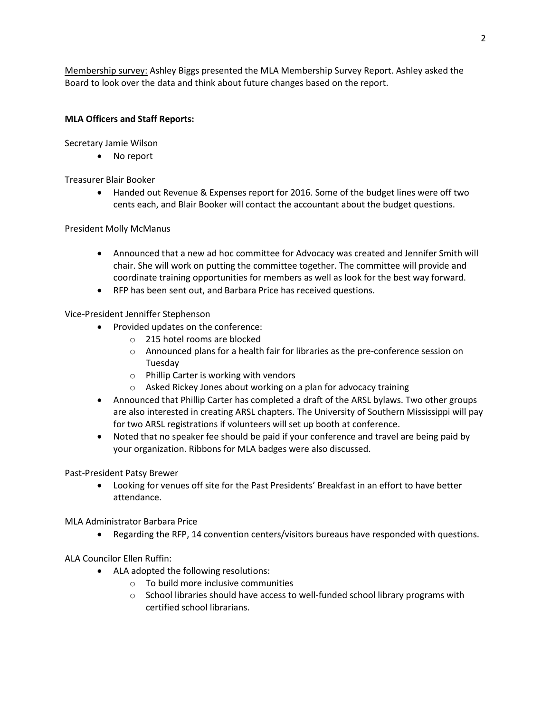Membership survey: Ashley Biggs presented the MLA Membership Survey Report. Ashley asked the Board to look over the data and think about future changes based on the report.

## **MLA Officers and Staff Reports:**

Secretary Jamie Wilson

No report

Treasurer Blair Booker

 Handed out Revenue & Expenses report for 2016. Some of the budget lines were off two cents each, and Blair Booker will contact the accountant about the budget questions.

### President Molly McManus

- Announced that a new ad hoc committee for Advocacy was created and Jennifer Smith will chair. She will work on putting the committee together. The committee will provide and coordinate training opportunities for members as well as look for the best way forward.
- RFP has been sent out, and Barbara Price has received questions.

Vice-President Jenniffer Stephenson

- Provided updates on the conference:
	- o 215 hotel rooms are blocked
	- o Announced plans for a health fair for libraries as the pre-conference session on Tuesday
	- o Phillip Carter is working with vendors
	- o Asked Rickey Jones about working on a plan for advocacy training
- Announced that Phillip Carter has completed a draft of the ARSL bylaws. Two other groups are also interested in creating ARSL chapters. The University of Southern Mississippi will pay for two ARSL registrations if volunteers will set up booth at conference.
- Noted that no speaker fee should be paid if your conference and travel are being paid by your organization. Ribbons for MLA badges were also discussed.

Past-President Patsy Brewer

 Looking for venues off site for the Past Presidents' Breakfast in an effort to have better attendance.

MLA Administrator Barbara Price

Regarding the RFP, 14 convention centers/visitors bureaus have responded with questions.

ALA Councilor Ellen Ruffin:

- ALA adopted the following resolutions:
	- o To build more inclusive communities
	- $\circ$  School libraries should have access to well-funded school library programs with certified school librarians.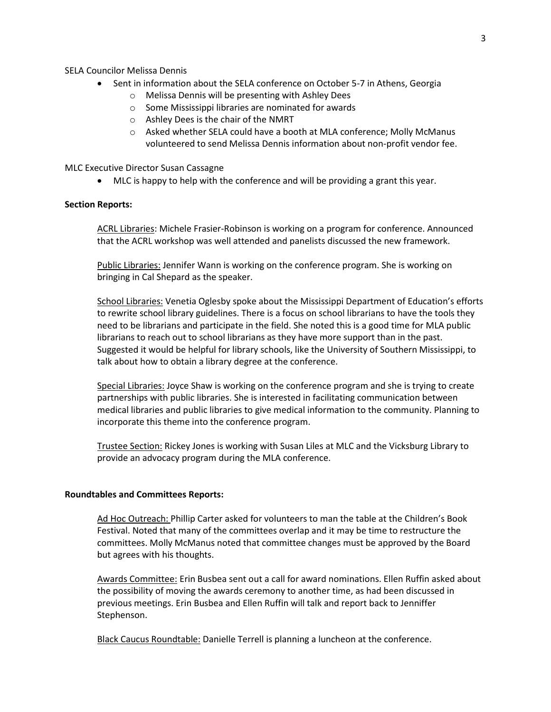SELA Councilor Melissa Dennis

- Sent in information about the SELA conference on October 5-7 in Athens, Georgia
	- o Melissa Dennis will be presenting with Ashley Dees
	- o Some Mississippi libraries are nominated for awards
	- o Ashley Dees is the chair of the NMRT
	- o Asked whether SELA could have a booth at MLA conference; Molly McManus volunteered to send Melissa Dennis information about non-profit vendor fee.

MLC Executive Director Susan Cassagne

MLC is happy to help with the conference and will be providing a grant this year.

#### **Section Reports:**

ACRL Libraries: Michele Frasier-Robinson is working on a program for conference. Announced that the ACRL workshop was well attended and panelists discussed the new framework.

Public Libraries: Jennifer Wann is working on the conference program. She is working on bringing in Cal Shepard as the speaker.

School Libraries: Venetia Oglesby spoke about the Mississippi Department of Education's efforts to rewrite school library guidelines. There is a focus on school librarians to have the tools they need to be librarians and participate in the field. She noted this is a good time for MLA public librarians to reach out to school librarians as they have more support than in the past. Suggested it would be helpful for library schools, like the University of Southern Mississippi, to talk about how to obtain a library degree at the conference.

Special Libraries: Joyce Shaw is working on the conference program and she is trying to create partnerships with public libraries. She is interested in facilitating communication between medical libraries and public libraries to give medical information to the community. Planning to incorporate this theme into the conference program.

Trustee Section: Rickey Jones is working with Susan Liles at MLC and the Vicksburg Library to provide an advocacy program during the MLA conference.

#### **Roundtables and Committees Reports:**

Ad Hoc Outreach: Phillip Carter asked for volunteers to man the table at the Children's Book Festival. Noted that many of the committees overlap and it may be time to restructure the committees. Molly McManus noted that committee changes must be approved by the Board but agrees with his thoughts.

Awards Committee: Erin Busbea sent out a call for award nominations. Ellen Ruffin asked about the possibility of moving the awards ceremony to another time, as had been discussed in previous meetings. Erin Busbea and Ellen Ruffin will talk and report back to Jenniffer Stephenson.

Black Caucus Roundtable: Danielle Terrell is planning a luncheon at the conference.